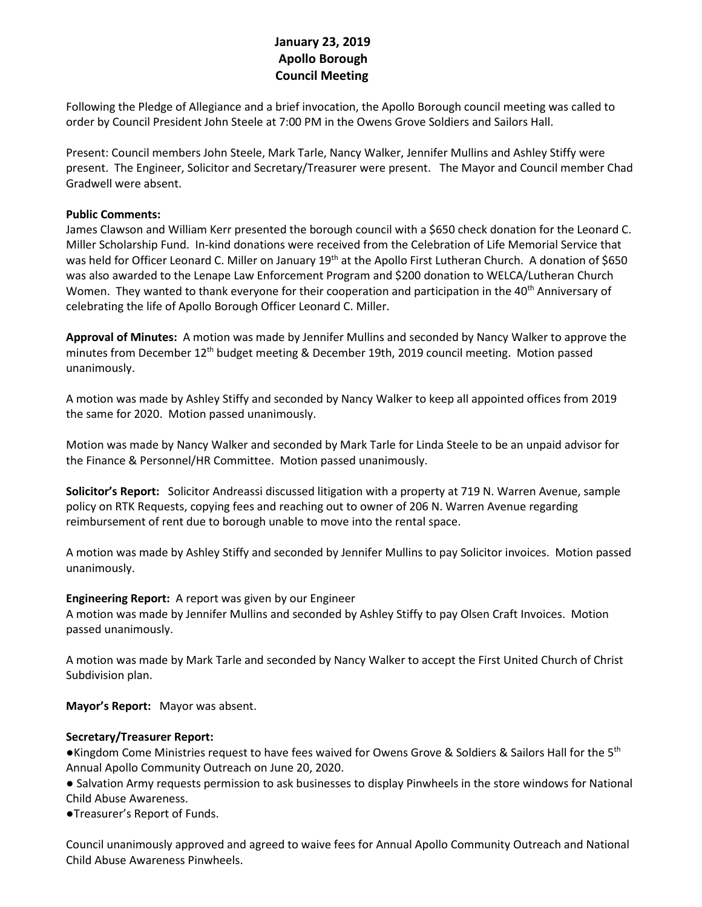# **January 23, 2019 Apollo Borough Council Meeting**

Following the Pledge of Allegiance and a brief invocation, the Apollo Borough council meeting was called to order by Council President John Steele at 7:00 PM in the Owens Grove Soldiers and Sailors Hall.

Present: Council members John Steele, Mark Tarle, Nancy Walker, Jennifer Mullins and Ashley Stiffy were present. The Engineer, Solicitor and Secretary/Treasurer were present. The Mayor and Council member Chad Gradwell were absent.

### **Public Comments:**

James Clawson and William Kerr presented the borough council with a \$650 check donation for the Leonard C. Miller Scholarship Fund. In-kind donations were received from the Celebration of Life Memorial Service that was held for Officer Leonard C. Miller on January 19<sup>th</sup> at the Apollo First Lutheran Church. A donation of \$650 was also awarded to the Lenape Law Enforcement Program and \$200 donation to WELCA/Lutheran Church Women. They wanted to thank everyone for their cooperation and participation in the 40<sup>th</sup> Anniversary of celebrating the life of Apollo Borough Officer Leonard C. Miller.

**Approval of Minutes:** A motion was made by Jennifer Mullins and seconded by Nancy Walker to approve the minutes from December 12<sup>th</sup> budget meeting & December 19th, 2019 council meeting. Motion passed unanimously.

A motion was made by Ashley Stiffy and seconded by Nancy Walker to keep all appointed offices from 2019 the same for 2020. Motion passed unanimously.

Motion was made by Nancy Walker and seconded by Mark Tarle for Linda Steele to be an unpaid advisor for the Finance & Personnel/HR Committee. Motion passed unanimously.

**Solicitor's Report:** Solicitor Andreassi discussed litigation with a property at 719 N. Warren Avenue, sample policy on RTK Requests, copying fees and reaching out to owner of 206 N. Warren Avenue regarding reimbursement of rent due to borough unable to move into the rental space.

A motion was made by Ashley Stiffy and seconded by Jennifer Mullins to pay Solicitor invoices. Motion passed unanimously.

#### **Engineering Report:** A report was given by our Engineer

A motion was made by Jennifer Mullins and seconded by Ashley Stiffy to pay Olsen Craft Invoices. Motion passed unanimously.

A motion was made by Mark Tarle and seconded by Nancy Walker to accept the First United Church of Christ Subdivision plan.

**Mayor's Report:** Mayor was absent.

### **Secretary/Treasurer Report:**

●Kingdom Come Ministries request to have fees waived for Owens Grove & Soldiers & Sailors Hall for the 5<sup>th</sup> Annual Apollo Community Outreach on June 20, 2020.

● Salvation Army requests permission to ask businesses to display Pinwheels in the store windows for National Child Abuse Awareness.

●Treasurer's Report of Funds.

Council unanimously approved and agreed to waive fees for Annual Apollo Community Outreach and National Child Abuse Awareness Pinwheels.